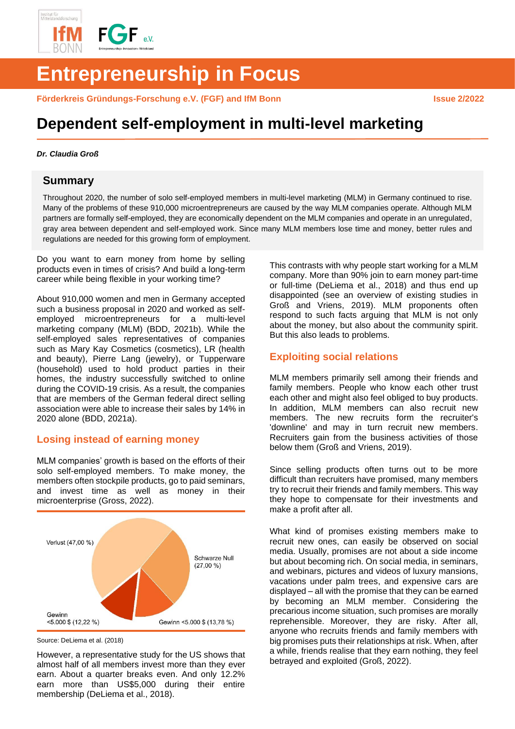

# **Entrepreneurship in Focus**

Förderkreis Gründungs-Forschung e.V. (FGF) and IfM Bonn **Issue 2/2022** 

# **Dependent self-employment in multi-level marketing**

#### *Dr. Claudia Groß*

### **Summary**

Throughout 2020, the number of solo self-employed members in multi-level marketing (MLM) in Germany continued to rise. Many of the problems of these 910,000 microentrepreneurs are caused by the way MLM companies operate. Although MLM partners are formally self-employed, they are economically dependent on the MLM companies and operate in an unregulated, gray area between dependent and self-employed work. Since many MLM members lose time and money, better rules and regulations are needed for this growing form of employment.

Do you want to earn money from home by selling products even in times of crisis? And build a long-term career while being flexible in your working time?

About 910,000 women and men in Germany accepted such a business proposal in 2020 and worked as selfemployed microentrepreneurs for a multi-level marketing company (MLM) (BDD, 2021b). While the self-employed sales representatives of companies such as Mary Kay Cosmetics (cosmetics), LR (health and beauty), Pierre Lang (jewelry), or Tupperware (household) used to hold product parties in their homes, the industry successfully switched to online during the COVID-19 crisis. As a result, the companies that are members of the German federal direct selling association were able to increase their sales by 14% in 2020 alone (BDD, 2021a).

## **Losing instead of earning money**

MLM companies' growth is based on the efforts of their solo self-employed members. To make money, the members often stockpile products, go to paid seminars, and invest time as well as money in their microenterprise (Gross, 2022).



Source: DeLiema et al. (2018)

However, a representative study for the US shows that almost half of all members invest more than they ever earn. About a quarter breaks even. And only 12.2% earn more than US\$5,000 during their entire membership (DeLiema et al., 2018).

This contrasts with why people start working for a MLM company. More than 90% join to earn money part-time or full-time (DeLiema et al., 2018) and thus end up disappointed (see an overview of existing studies in Groß and Vriens, 2019). MLM proponents often respond to such facts arguing that MLM is not only about the money, but also about the community spirit. But this also leads to problems.

# **Exploiting social relations**

MLM members primarily sell among their friends and family members. People who know each other trust each other and might also feel obliged to buy products. In addition, MLM members can also recruit new members. The new recruits form the recruiter's 'downline' and may in turn recruit new members. Recruiters gain from the business activities of those below them (Groß and Vriens, 2019).

Since selling products often turns out to be more difficult than recruiters have promised, many members try to recruit their friends and family members. This way they hope to compensate for their investments and make a profit after all.

What kind of promises existing members make to recruit new ones, can easily be observed on social media. Usually, promises are not about a side income but about becoming rich. On social media, in seminars, and webinars, pictures and videos of luxury mansions, vacations under palm trees, and expensive cars are displayed – all with the promise that they can be earned by becoming an MLM member. Considering the precarious income situation, such promises are morally reprehensible. Moreover, they are risky. After all, anyone who recruits friends and family members with big promises puts their relationships at risk. When, after a while, friends realise that they earn nothing, they feel betrayed and exploited (Groß, 2022).